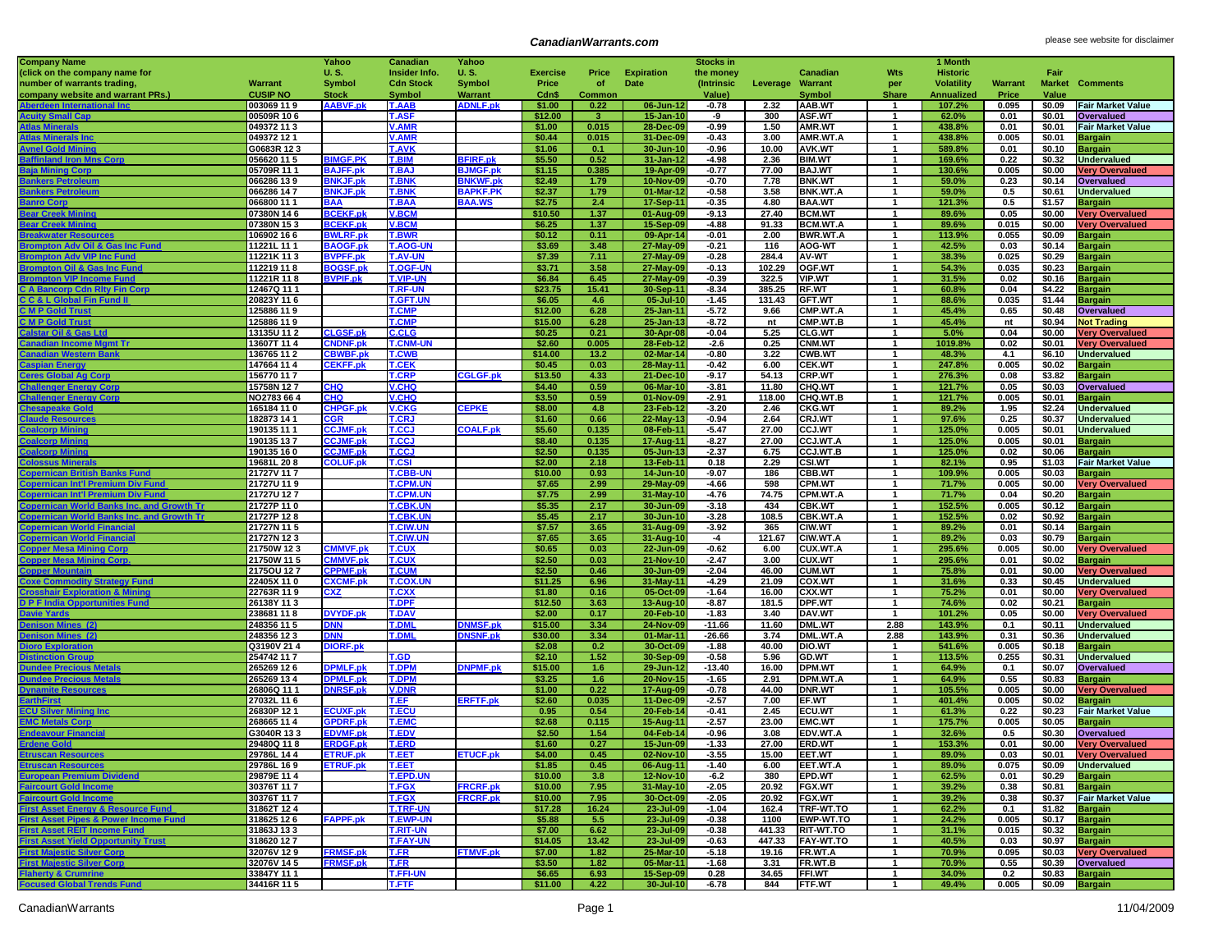## **CanadianWarrants.com CanadianWarrants.com please see website for disclaimer**

| <b>Company Name</b>                                                                               |                           | Yahoo                              | Canadian                           | Yahoo                             |                   |              |                         | <b>Stocks in</b>   |                 |                                     |                              | 1 Month           |                |                                  |                                          |
|---------------------------------------------------------------------------------------------------|---------------------------|------------------------------------|------------------------------------|-----------------------------------|-------------------|--------------|-------------------------|--------------------|-----------------|-------------------------------------|------------------------------|-------------------|----------------|----------------------------------|------------------------------------------|
| (click on the company name for                                                                    |                           | U.S.                               | Insider Info.                      | U.S.                              | <b>Exercise</b>   | Price        | <b>Expiration</b>       | the money          |                 | Canadian                            | Wts                          | <b>Historic</b>   |                | Fair                             |                                          |
| number of warrants trading,                                                                       | Warrant                   | <b>Symbol</b>                      | <b>Cdn Stock</b>                   | Symbol                            | Price             | of           | Date                    | (Intrinsic         | Leverage        | Warrant                             | per                          | <b>Volatility</b> | <b>Warrant</b> |                                  | <b>Market Comments</b>                   |
| company website and warrant PRs.)                                                                 | <b>CUSIP NO</b>           | <b>Stock</b>                       | <b>Symbol</b>                      | Warrant                           | Cdn\$             | Common       |                         | Value)             |                 | <b>Symbol</b>                       | <b>Share</b>                 | <b>Annualized</b> | Price          | Value                            |                                          |
| Aberdeen International Inc                                                                        | 003069 119                | <b>AABVF.pk</b>                    | <b>T.AAB</b>                       | <b>ADNLF.pk</b>                   | \$1.00            | 0.22         | 06-Jun-12               | -0.78              | 2.32            | AAB.WT                              | -1                           | 107.2%            | 0.095          | \$0.09                           | <b>Fair Market Value</b>                 |
| <b>Acuity Small Cap</b>                                                                           | 00509R 106                |                                    | <b>T.ASF</b>                       |                                   | \$12.00           |              | 15-Jan-10               | -9                 | 300             | <b>ASF.WT</b>                       | $\overline{1}$               | 62.0%             | 0.01           | \$0.01                           | Overvalued                               |
| tlas Min                                                                                          | 049372 11 3               |                                    | <b>V.AMR</b>                       |                                   | \$1.00            | 0.015        | 28-Dec-09               | $-0.99$            | 1.50            | <b>AMR.WT</b>                       | $\mathbf 1$                  | 438.8%            | 0.01           | \$0.01                           | <b>Fair Market Value</b>                 |
| <b>Atlas Minerals Inc</b>                                                                         | 049372 12 1               |                                    | <b>V.AMR</b>                       |                                   | \$0.44            | 0.015        | 31-Dec-09               | $-0.43$            | 3.00            | AMR.WT.A                            | -1                           | 438.8%            | 0.005          | \$0.01                           | Bargain                                  |
| <b>Avnel Gold Mining</b>                                                                          | G0683R 123                |                                    | <b>T.AVK</b>                       |                                   | \$1.06            | 0.1          | 30-Jun-1                | $-0.96$            | 10.00           | <b>AVK.WT</b>                       | $\mathbf{1}$                 | 589.8%            | 0.01           | \$0.10                           | Bargain                                  |
| <b>Baffinland Iron Mns Corp</b>                                                                   | 056620 11 5               | <b>BIMGF.PK</b>                    | <b>T.BIM</b>                       | <b>BFIRF.pl</b>                   | \$5.50            | 0.52         | 31-Jan-1:               | $-4.98$            | 2.36            | <b>BIM.WT</b>                       |                              | 169.6%            | 0.22           | \$0.32                           | <b>Undervalued</b>                       |
| 3aia Mining Corp<br><b>Bankers Petroleun</b>                                                      | 05709R 11 1               | <b>BAJFF.pl</b><br><b>BNKJF.pl</b> | T.BA.<br><b>T.BNK</b>              | <b>BJMGF.p</b>                    | \$1.15            | 0.385        | 19-Apr-0                | $-0.77$<br>$-0.70$ | 77.00           | BAJ.WT                              | -1<br>$\mathbf{1}$           | 130.6%            | 0.005<br>0.23  | \$0.00<br>\$0.14                 | <b>Very Overvalued</b>                   |
| <b>Jankers</b> Petro                                                                              | 066286 13 9<br>066286 147 | <b>BNKJF.pk</b>                    | <b>T.BNK</b>                       | <b>NKWF.pl</b><br><b>BAPKF.PK</b> | \$2.49<br>\$2.37  | 1.79<br>1.79 | 10-Nov-0<br>$01-Mar-12$ | $-0.58$            | 7.78<br>3.58    | <b>BNK.WT</b><br><b>BNK.WT.A</b>    | $\mathbf 1$                  | 59.0%<br>59.0%    | 0.5            | \$0.61                           | Overvalued<br><b>Undervalued</b>         |
| lanro Corr                                                                                        | 066800 11 1               | BAA                                | <b>T.BAA</b>                       | <b>BAA.WS</b>                     | \$2.75            | 2.4          | 17-Sep-1                | $-0.35$            | 4.80            | <b>BAA.WT</b>                       | -1                           | 121.3%            | 0.5            | \$1.57                           | Bargain                                  |
| <b>Sear Creek N</b>                                                                               | 07380N 146                | <b>BCEKF.pk</b>                    | <b>V.BCM</b>                       |                                   | \$10.50           | 1.37         | 01-Aug-0                | $-9.13$            | 27.40           | <b>BCM.WT</b>                       | $\mathbf{1}$                 | 89.6%             | 0.05           | \$0.00                           | <b>Very Overvalued</b>                   |
| ear Cre                                                                                           | 07380N 153                | <b>BCEKF.pk</b>                    | <b>V.BCM</b>                       |                                   | \$6.25            | 1.37         | 15-Sep-09               | $-4.88$            | 91.33           | <b>BCM.WT.A</b>                     | $\mathbf{1}$                 | 89.6%             | 0.015          | \$0.00                           | <b>Very Overvalued</b>                   |
| Breakwater Resourc                                                                                | 106902 166                | <b>BWLRF.pk</b>                    | <b>T.BWR</b>                       |                                   | \$0.12            | 0.11         | 09-Apr-14               | $-0.01$            | 2.00            | <b>BWR.WT.A</b>                     | -1                           | 113.9%            | 0.055          | \$0.09                           | Bargain                                  |
| <b>Brompton Adv Oil &amp; Gas Inc Fund</b>                                                        | 11221L 11 1               | <b>BAOGF.pk</b>                    | <b>T.AOG-U</b>                     |                                   | \$3.69            | 3.48         | 27-May-0                | $-0.21$            | 116             | <b>AOG-WT</b>                       | $\mathbf{1}$                 | 42.5%             | 0.03           | \$0.14                           | <b>Bargain</b>                           |
| on Adv VIP Inc Fur                                                                                | 11221K 113                | <b>BVPFF.pk</b>                    | <b>T.AV-UN</b>                     |                                   | \$7.39            | 7.11         | 27-May-09               | $-0.28$            | 284.4           | <b>AV-WT</b>                        | $\mathbf{1}$                 | 38.3%             | 0.025          | \$0.29                           | <b>Bargain</b>                           |
| <b>Brompton Oil &amp; Gas Inc Fun</b>                                                             | 112219 11 8               | 3OGSF.pk                           | <b>T.OGF-UI</b>                    |                                   | \$3.71            | 3.58         | 27-May-09               | $-0.13$            | 102.29          | OGF.WT                              | -1                           | 54.3%             | 0.035          | \$0.23                           | Bargain                                  |
| <b>Brompton VIP Income Fund</b>                                                                   | 11221R 118                | <b>BVPIF.pk</b>                    | <b>T.VIP-UN</b>                    |                                   | \$6.84            | 6.45         | 27-May-09               | $-0.39$            | 322.5           | <b>VIP.WT</b>                       | $\mathbf{1}$                 | 31.5%             | 0.02           | \$0.16                           | <b>Bargain</b>                           |
| <b>C A Bancorp Cdn Rity Fin Corp</b>                                                              | 12467Q 111                |                                    | <b>T.RF-UN</b>                     |                                   | \$23.75           | 15.41        | 30-Sep-11               | $-8.34$            | 385.25          | <b>RF.WT</b>                        | $\mathbf 1$                  | 60.8%             | 0.04           | \$4.22                           | <b>Bargain</b>                           |
| <b>C C &amp; L Global Fin Fund II</b>                                                             | 20823Y 11 6               |                                    | <b>T.GFT.UN</b>                    |                                   | \$6.05            | 4.6          | $05 -$ Jul-1            | $-1.45$            | 131.43          | <b>GFT.WT</b>                       | -1                           | 88.6%             | 0.035          | \$1.44                           | <b>Bargain</b>                           |
| <b>C M P Gold Trust</b>                                                                           | 125886 11 9               |                                    | <b>T.CMP</b>                       |                                   | \$12.00           | 6.28         | $25 - Jan-1$            | $-5.72$            | 9.66            | CMP.WT.A                            | $\mathbf{1}$                 | 45.4%             | 0.65           | \$0.48                           | Overvalued                               |
| <b>CMPGo</b><br><b>Id Trus</b>                                                                    | 125886 119                |                                    | <b>T.CMP</b>                       |                                   | \$15.00           | 6.28         | 25-Jan-13               | $-8.72$            | nt              | CMP.WT.B                            | -1                           | 45.4%             | nt             | \$0.94                           | <b>Not Trading</b>                       |
| Calstar Oil & Gas Ltd                                                                             | 13135U 11 2               | <b>CLGSF.pk</b>                    | <b>C.CLG</b>                       |                                   | \$0.25            | 0.21         | 30-Apr-0                | $-0.04$            | 5.25            | <b>CLG.WT</b>                       | -1                           | 5.0%              | 0.04           | \$0.00                           | <b>Very Overvalued</b>                   |
| <b>Canadian Income Momt Tr</b>                                                                    | 13607T 11 4               | <b>CNDNF.pk</b>                    | <b>T.CNM-U</b>                     |                                   | \$2.60            | 0.005        | 28-Feb-1                | $-2.6$             | 0.25            | <b>CNM.WT</b>                       | $\mathbf{1}$                 | 1019.8%           | 0.02           | \$0.01                           | <b>Very Overvalued</b>                   |
| tern Ba                                                                                           | 136765 11 2               | <b>CBWBF.pk</b>                    | <b>T.CWB</b>                       |                                   | \$14.00           | 13.2         | 02-Mar-14               | $-0.80$            | 3.22            | CWB.WT                              | $\mathbf{1}$                 | 48.3%             | 4.1            | \$6.10                           | <b>Undervalued</b>                       |
| <b>Caspian Energy</b>                                                                             | 147664 11 4               | <b>CEKFF.pk</b>                    | <b>T.CEK</b>                       |                                   | \$0.45            | 0.03         | 28-May-1                | $-0.42$            | 6.00            | <b>CEK.WT</b>                       | $\mathbf 1$                  | 247.8%            | 0.005          | \$0.02                           | <b>Bargain</b>                           |
| <b>Ceres Global Ag Corp</b>                                                                       | 156770 117                |                                    | <b>T.CRP</b>                       | <b>CGLGF.pk</b>                   | \$13.50           | 4.33         | 21-Dec-1                | $-9.17$            | 54.13           | <b>CRP.WT</b>                       | -1<br>$\mathbf{1}$           | 276.3%            | 0.08           | \$3.82                           | <b>Bargain</b>                           |
| <b>Challenger Energy Corp</b><br>ger Energy Corp                                                  | 15758N 127<br>NO2783 66 4 | <b>CHQ</b><br><b>CHQ</b>           | <b>V.CHQ</b><br><b>V.CHQ</b>       |                                   | \$4.40<br>\$3.50  | 0.59<br>0.59 | 06-Mar-1<br>01-Nov-09   | $-3.81$<br>$-2.91$ | 11.80<br>118.00 | CHQ.WT<br>CHQ.WT.B                  |                              | 121.7%<br>121.7%  | 0.05<br>0.005  | \$0.03<br>\$0.01                 | Overvalued                               |
| <b>Chesapeake Gold</b>                                                                            | 165184 11 0               | <b>CHPGF.pk</b>                    | <b>V.CKG</b>                       | CEPKE                             | \$8.00            | 4.8          | 23-Feb-1:               | $-3.20$            | 2.46            | <b>CKG.WT</b>                       | -1                           | 89.2%             | 1.95           | \$2.24                           | <b>Bargain</b><br><b>Undervalued</b>     |
| <b>Claude Resource</b>                                                                            | 182873 14 1               | <b>CGR</b>                         | <b>T.CRJ</b>                       |                                   | \$1.60            | 0.66         | 22-May-1:               | $-0.94$            | 2.64            | <b>CRJ.WT</b>                       | $\overline{1}$               | 97.6%             | 0.25           | \$0.37                           | <b>Undervalued</b>                       |
| <b>Coalcorp I</b>                                                                                 | 190135 11 1               | <b>CCJMF.pk</b>                    | <b>T.CCJ</b>                       | <b>COALF.pk</b>                   | \$5.60            | 0.135        | 08-Feb-1                | $-5.47$            | 27.00           | <b>CCJ.WT</b>                       | $\mathbf{1}$                 | 125.0%            | 0.005          | \$0.01                           | <b>Undervalued</b>                       |
| <b>Coalcorp</b>                                                                                   | 190135 137                | <b>CCJMF.pk</b>                    | <b>T.CCJ</b>                       |                                   | \$8.40            | 0.135        | 17-Aug-1                | $-8.27$            | 27.00           | <b>CCJ.WT.A</b>                     | -1                           | 125.0%            | 0.005          | \$0.01                           | <b>Bargain</b>                           |
| <b>Coalcorp I</b>                                                                                 | 190135 160                | <b>CCJMF.pk</b>                    | <b>T.CCJ</b>                       |                                   | \$2.50            | 0.135        | 05-Jun-1                | $-2.37$            | 6.75            | <b>CCJ.WT.B</b>                     | $\mathbf{1}$                 | 125.0%            | 0.02           | \$0.06                           | Bargain                                  |
|                                                                                                   | 19681L 208                | <b>COLUF.pk</b>                    | <b>T.CSI</b>                       |                                   | \$2.00            | 2.18         | 13-Feb-1                | 0.18               | 2.29            | <b>CSI.WT</b>                       | $\mathbf 1$                  | 82.1%             | 0.95           | \$1.03                           | <b>Fair Market Value</b>                 |
| :`opernican British                                                                               | 21727V 11 7               |                                    | <b>T.CBB-UN</b>                    |                                   | \$10.00           | 0.93         | 14-Jun-10               | $-9.07$            | 186             | <b>CBB.WT</b>                       | -1                           | 109.9%            | 0.005          | \$0.03                           | Bargain                                  |
| Copernican Int'l Premium Div Fu                                                                   | 21727U 11 9               |                                    | <b>T.CPM.UI</b>                    |                                   | \$7.65            | 2.99         | 29-May-0                | $-4.66$            | 598             | <b>CPM.WT</b>                       | $\mathbf{1}$                 | 71.7%             | 0.005          | \$0.00                           | <b>Very Overvalued</b>                   |
| :an Int'l Pre<br>m Div Fu                                                                         | 21727U 127                |                                    | <b>T.CPM.UN</b>                    |                                   | \$7.75            | 2.99         | 31-May-10               | $-4.76$            | 74.75           | <b>CPM.WT.A</b>                     | $\mathbf 1$                  | 71.7%             | 0.04           | \$0.20                           | <b>Bargain</b>                           |
| Copernican World Banks Inc. and Growth Tr                                                         | 21727P 110                |                                    | <b>T.CBK.UN</b>                    |                                   | \$5.35            | 2.17         | 30-Jun-09               | $-3.18$            | 434             | <b>CBK.WT</b>                       | -1                           | 152.5%            | 0.005          | \$0.12                           | Bargain                                  |
| <b>Copernican World Banks Inc. and Growth Tr</b>                                                  | 21727P 128                |                                    | <b>T.CBK.UN</b>                    |                                   | \$5.45            | 2.17         | 30-Jun-1                | $-3.28$            | 108.5           | CBK.WT.A                            | $\mathbf{1}$                 | 152.5%            | 0.02           | \$0.92                           | <b>Bargain</b>                           |
| an World Fi                                                                                       | 21727N 115                |                                    | <b>T.CIW.UN</b>                    |                                   | \$7.57            | 3.65         | 31-Aug-09               | $-3.92$            | 365             | <b>CIW.WT</b>                       | $\mathbf 1$                  | 89.2%             | 0.01           | \$0.14                           | <b>Bargain</b>                           |
| <b>Copernican World Fina</b>                                                                      | 21727N 123                |                                    | <b>T.CIW.UN</b>                    |                                   | \$7.65            | 3.65         | 31-Aug-10               | $-4$               | 121.67          | CIW.WT.A                            | -1                           | 89.2%             | 0.03           | \$0.79                           | Bargain                                  |
| Copper Mesa Mining Corp                                                                           | 21750W 123                | <b>CMMVF.pk</b>                    | <b>T.CUX</b>                       |                                   | \$0.65            | 0.03         | 22-Jun-09               | $-0.62$            | 6.00            | CUX.WT.A                            | $\mathbf{1}$                 | 295.6%            | 0.005          | \$0.00                           | <b>Very Overvalued</b>                   |
|                                                                                                   | 21750W 115                | <b>CMMVF.pk</b>                    | <b>T.CUX</b>                       |                                   | \$2.50            | 0.03         | 21-Nov-10               | $-2.47$            | 3.00            | <b>CUX.WT</b>                       | $\mathbf 1$                  | 295.6%            | 0.01           | \$0.02                           | <b>Bargain</b>                           |
| Copper Mountain                                                                                   | 2175OU 127                | <b>CPPMF.pk</b>                    | <b>T.CUM</b>                       |                                   | \$2.50            | 0.46         | 30-Jun-09               | $-2.04$            | 46.00           | CUM.WT                              | -1                           | 75.8%             | 0.01           | \$0.00                           | <b>Very Overvalued</b>                   |
| <b>Coxe Commodity Strategy Fun</b>                                                                | 22405X 110                | <b>CXCMF.pk</b>                    | <b>T.COX.UI</b>                    |                                   | \$11.25           | 6.96         | 31-May-11               | $-4.29$            | 21.09           | COX.WT                              | $\mathbf{1}$<br>$\mathbf 1$  | 31.6%             | 0.33           | \$0.45                           | <b>Undervalued</b>                       |
| <b>Crosshair Exploration &amp; M</b><br><b>D P F India Opportunities Fund</b>                     | 22763R 119<br>26138Y 113  | <b>CXZ</b>                         | <b>T.CXX</b><br><b>T.DPF</b>       |                                   | \$1.80<br>\$12.50 | 0.16<br>3.63 | 05-Oct-09<br>13-Aug-10  | $-1.64$<br>$-8.87$ | 16.00<br>181.5  | <b>CXX.WT</b><br>DPF.WT             | -1                           | 75.2%<br>74.6%    | 0.01<br>0.02   | \$0.00<br>\$0.21                 | <b>Very Overvalued</b>                   |
| <b>Davie Yard</b>                                                                                 | 238681 11 8               | <b>DVYDF.pk</b>                    | <b>T.DAV</b>                       |                                   | \$2.00            | 0.17         | 20-Feb-10               | $-1.83$            | 3.40            | DAV.WT                              | $\mathbf{1}$                 | 101.2%            | 0.05           | \$0.00                           | <b>Bargain</b><br><b>Very Overvalued</b> |
| enison l<br>nes (2)                                                                               | 248356 11 5               | DNN                                | <b>T.DML</b>                       | <b>DNMSF.pk</b>                   | \$15.00           | 3.34         | 24-Nov-09               | $-11.66$           | 11.60           | <b>DML.WT</b>                       | 2.88                         | 143.9%            | 0.1            | \$0.11                           | <b>Undervalued</b>                       |
| Jenison Mines (2)                                                                                 | 248356 123                | DNN                                | <b>T.DML</b>                       | <b>DNSNF.pk</b>                   | \$30.00           | 3.34         | 01-Mar-11               | $-26.66$           | 3.74            | DML.WT.A                            | 2.88                         | 143.9%            | 0.31           | \$0.36                           | <b>Undervalued</b>                       |
| Dioro Expl                                                                                        | Q3190V 21 4               | <b>DIORF.pk</b>                    |                                    |                                   | \$2.08            | 0.2          | 30-Oct-09               | $-1.88$            | 40.00           | DIO.WT                              | 1                            | 541.6%            | 0.005          | \$0.18                           | <b>Bargain</b>                           |
| <b>Distinction Group</b>                                                                          | 254742 117                |                                    | T.GD                               |                                   | \$2.10            | 1.52         | 30-Sep-09               | $-0.58$            | 5.96            | GD.WT                               | $\overline{1}$               | 113.5%            | 0.255          | \$0.31                           | <b>Undervalued</b>                       |
| Dundee Precious M                                                                                 | 265269 12 6               | DPMLF.pk                           | <b>T.DPN</b>                       | <b>NPMF.pk</b>                    | \$15.00           | 1.6          | 29-Jun-12               | $-13.40$           | 16.00           | <b>DPM.WT</b>                       | $\mathbf 1$                  | 64.9%             | 0.1            | \$0.07                           | Overvalued                               |
| <b>Dundee Precious Met</b>                                                                        | 265269 13 4               | <b>DPMLF.pk</b>                    | <b>T.DPN</b>                       |                                   | \$3.25            | 1.6          | 20-Nov-1                | $-1.65$            | 2.91            | DPM.WT.A                            | -1                           | 64.9%             | 0.55           | \$0.83                           | <b>Bargain</b>                           |
| <b>Dynamite F</b>                                                                                 | 26806Q 11 1               | <b>NRSF.pk</b>                     | <b>V.DNR</b>                       |                                   | \$1.00            | 0.22         | 17-Aug-09               | $-0.78$            | 44.00           | <b>DNR.WT</b>                       | $\overline{1}$               | 105.5%            | 0.005          | \$0.00                           | <b>Very Overvalued</b>                   |
| EarthFirst                                                                                        | 27032L 11 6               |                                    | T.EF                               | <b>ERFTF.pk</b>                   | \$2.60            | 0.035        | 11-Dec-09               | $-2.57$            | 7.00            | EF WT                               | $\mathbf 1$                  | 401.4%            | 0.005          | \$0.02                           | <b>Bargain</b>                           |
| <b>ECU Silver M</b><br>inina Inc                                                                  | 26830P 12 1               | <b>ECUXF.pk</b>                    | <b>T.ECU</b>                       |                                   | 0.95              | 0.54         | 20-Feb-14               | $-0.41$            | 2.45            | ECU.WT                              | -1                           | 61.3%             | 0.22           | \$0.23                           | <b>Fair Market Value</b>                 |
| <b>EMC Metals Corp</b>                                                                            | 268665 11 4               | <b>GPDRF.pk</b>                    | <b>T.EMC</b>                       |                                   | \$2.68            | 0.115        | 15-Aug-1                | $-2.57$            | 23.00           | <b>EMC.WT</b>                       | $\mathbf{1}$                 | 175.7%            | 0.005          | \$0.05                           | Bargain                                  |
| Endeavour Finan∈                                                                                  | G3040R 133                | <b>EDVMF.pk</b>                    | <b>T.EDV</b>                       |                                   | \$2.50            | 1.54         | 04-Feb-14               | $-0.96$            | 3.08            | EDV.WT.A                            | $\mathbf 1$                  | 32.6%             | 0.5            | \$0.30                           | Overvalued                               |
| <b>Erdene Gold</b>                                                                                | 29480Q 118                | <b>ERDGF.pk</b>                    | <b>T.ERD</b>                       |                                   | \$1.60            | 0.27         | 15-Jun-09               | $-1.33$            | 27.00           | ERD.WT                              |                              | 153.3%            | 0.01           | \$0.00                           | <b>Very Overvalued</b>                   |
| <b>Etruscan Resources</b>                                                                         | 29786L 144                | <b>ETRUF.pk</b>                    | <b>T.EET</b>                       | <b>ETUCF.pk</b>                   | \$4.00            | 0.45         | 02-Nov-10               | $-3.55$            | 15.00           | <b>EET.WT</b>                       | $\mathbf{1}$                 | 89.0%             | 0.03           |                                  | \$0.01 Very Overvalued                   |
| <b>Etruscan Resources</b>                                                                         | 29786L 16 9               | <b>ETRUF.pk</b>                    | <b>T.EET</b>                       |                                   | \$1.85            | 0.45         | 06-Aug-11               | $-1.40$            | 6.00            | EET.WT.A                            | $\mathbf{1}$                 | 89.0%             | 0.075          |                                  | \$0.09 Undervalued                       |
| <b>European Premium Dividend</b>                                                                  | 29879E 11 4               |                                    | T.EPD.UN                           |                                   | \$10.00           | 3.8          | 12-Nov-10               | $-6.2$             | 380             | EPD.WT                              | 1                            | 62.5%             | 0.01           | $$0.29$ Bargain                  |                                          |
| <b>Faircourt Gold Income</b>                                                                      | 30376T 117                |                                    | <b>T.FGX</b>                       | <b>FRCRF.pk</b>                   | \$10.00           | 7.95         | 31-May-10               | $-2.05$            | 20.92           | <b>FGX.WT</b>                       | $\mathbf{1}$                 | 39.2%             | 0.38           | \$0.81 Bargain                   |                                          |
| <b>Faircourt Gold Income</b>                                                                      | 30376T 11 7               |                                    | <b>T.FGX</b>                       | <b>FRCRF.pk</b>                   | \$10.00           | 7.95         | 30-Oct-09               | $-2.05$            | 20.92           | <b>FGX.WT</b>                       | $\mathbf{1}$                 | 39.2%             | 0.38           |                                  | \$0.37 Fair Market Value                 |
| <b>First Asset Energy &amp; Resource Fund</b><br><b>First Asset Pipes &amp; Power Income Fund</b> | 31862T 124<br>318625 12 6 | <b>FAPPF.pk</b>                    | <b>T.TRF-UN</b><br><b>T.EWP-UN</b> |                                   | \$17.28<br>\$5.88 | 16.24<br>5.5 | 23-Jul-09<br>23-Jul-09  | $-1.04$<br>$-0.38$ | 1100            | 162.4 TRF-WT.TO<br><b>EWP-WT.TO</b> | $\mathbf{1}$<br>$\mathbf{1}$ | 62.2%<br>24.2%    | 0.1<br>0.005   | \$1.82 Bargain<br>\$0.17 Bargain |                                          |
| <b>First Asset REIT Income Fund</b>                                                               | 31863J 13 3               |                                    | <b>T.RIT-UN</b>                    |                                   | \$7.00            | 6.62         | 23-Jul-09               | $-0.38$            |                 | 441.33 RIT-WT.TO                    | $\mathbf{1}$                 | 31.1%             | 0.015          | \$0.32 Bargain                   |                                          |
| <b>First Asset Yield Opportunity Trust</b>                                                        | 318620 12 7               |                                    | <b>T.FAY-UN</b>                    |                                   | \$14.05           | 13.42        | 23-Jul-09               | $-0.63$            |                 | 447.33 FAY-WT.TO                    | $\mathbf{1}$                 | 40.5%             | 0.03           | \$0.97 Bargain                   |                                          |
| <b>First Majestic Silver Corp</b>                                                                 | 32076V 129                | <b>FRMSF.pk</b>                    | <b>T.FR</b>                        | <b>FTMVF.pk</b>                   | \$7.00            | 1.82         | 25-Mar-10               | $-5.18$            |                 | 19.16 FR.WT.A                       | $\mathbf{1}$                 | 70.9%             | 0.095          |                                  | \$0.03 Very Overvalued                   |
| <b>First Majestic Silver Corp</b>                                                                 | 32076V 145                | <b>FRMSF.pk</b>                    | <b>T.FR</b>                        |                                   | \$3.50            | 1.82         | 05-Mar-11               | $-1.68$            | 3.31            | FR.WT.B                             | $\mathbf{1}$                 | 70.9%             | 0.55           |                                  | \$0.39 Overvalued                        |
| <b>Flaherty &amp; Crumrine</b>                                                                    | 33847Y 11 1               |                                    | <b>T.FFI-UN</b>                    |                                   | \$6.65            | 6.93         | 15-Sep-09               | 0.28               | 34.65           | <b>FFI.WT</b>                       | $\mathbf{1}$                 | 34.0%             | 0.2            | \$0.83 Bargain                   |                                          |
| <b>Focused Global Trends Fund</b>                                                                 | 34416R 11 5               |                                    | <b>T.FTF</b>                       |                                   | \$11.00           | 4.22         | 30-Jul-10               | -6.78              | 844             | FTF.WT                              | $\overline{1}$               | 49.4%             | 0.005          | \$0.09 Bargain                   |                                          |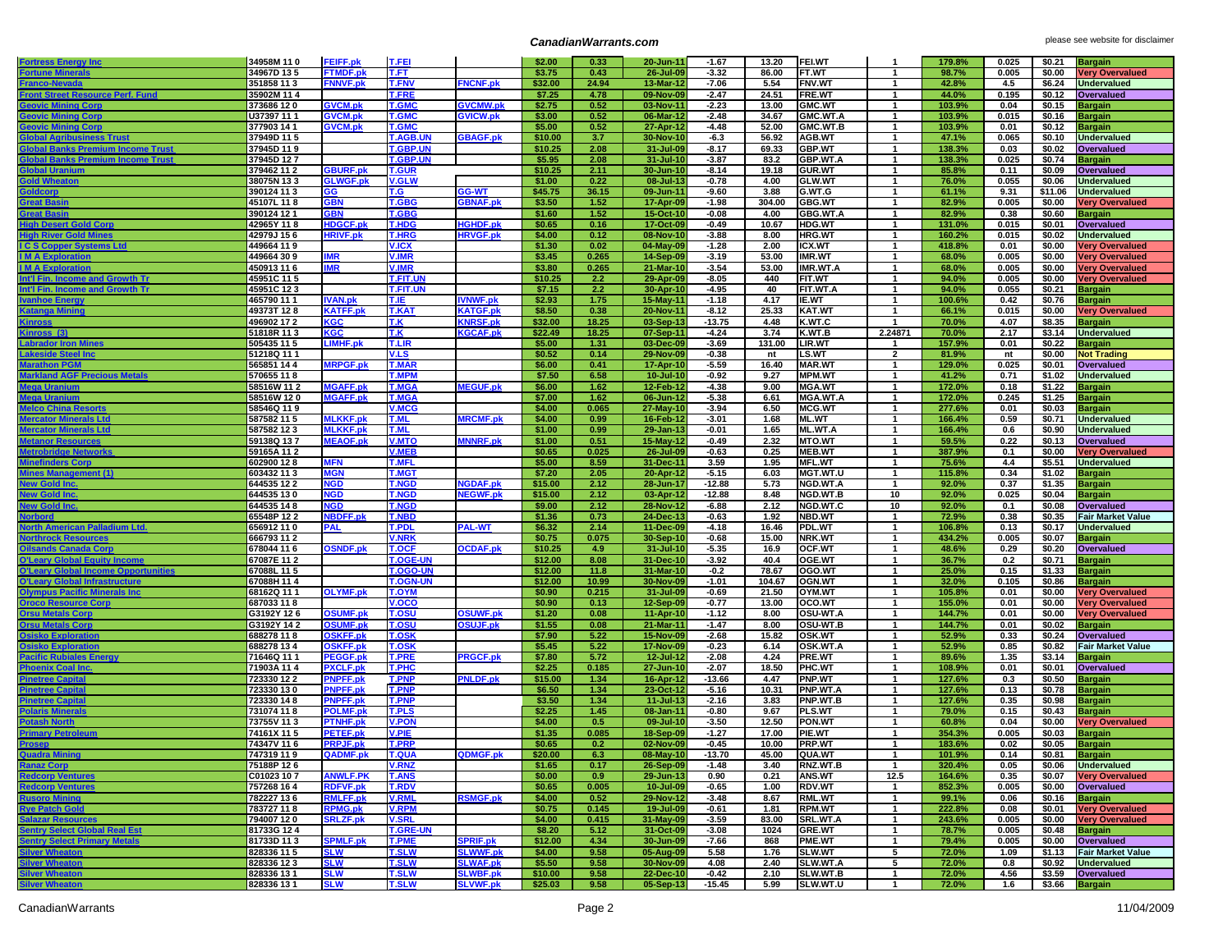## **CanadianWarrants.com CanadianWarrants.com please see website for disclaimer**

| <b>Fortress Energy Inc</b>                                                           | 34958M 110                | <b>FEIFF.pk</b>                    | <b>T.FEI</b>                 |                                    | \$2.00           | 0.33          | 20-Jun-11              | $-1.67$            | 13.20         | FEI.WT                         | $\mathbf{1}$                 | 179.8%           | 0.025         | \$0.21           | <b>Bargain</b>                                   |
|--------------------------------------------------------------------------------------|---------------------------|------------------------------------|------------------------------|------------------------------------|------------------|---------------|------------------------|--------------------|---------------|--------------------------------|------------------------------|------------------|---------------|------------------|--------------------------------------------------|
| <b>Fortune Mineral</b>                                                               | 34967D 135                | <b>FTMDF.pk</b>                    | T.FT                         |                                    | \$3.75           | 0.43          | 26-Jul-09              | $-3.32$            | 86.00         | FT.WT                          | $\mathbf{1}$                 | 98.7%            | 0.005         | \$0.00           | <b>Very Overvalued</b>                           |
| Franco-Nevada                                                                        | 351858 113                | <b>FNNVF.pk</b>                    | <b>T.FNV</b>                 | <b>FNCNF.pk</b>                    | \$32.00          | 24.94         | 13-Mar-12              | $-7.06$            | 5.54          | <b>FNV.WT</b>                  | $\mathbf{1}$                 | 42.8%            | 4.5           | \$6.24           | <b>Undervalued</b>                               |
| <b>Front Street Resource Perf. Fund</b>                                              | 35902M 114                |                                    | T.FRE                        |                                    | \$7.25           | 4.78          | 09-Nov-09              | $-2.47$            | 24.51         | <b>FRE.WT</b>                  | $\mathbf{1}$                 | 44.0%            | 0.195         | \$0.12           | <b>Overvalued</b>                                |
| <b>Geovic Mining Corp</b>                                                            | 373686 120                | <b>GVCM.pk</b>                     | <b>T.GMC</b>                 | <b>SVCMW.pk</b>                    | \$2.75           | 0.52          | 03-Nov-11              | $-2.23$            | 13.00         | <b>GMC.WT</b>                  | $\mathbf{1}$                 | 103.9%           | 0.04          | \$0.15           | <b>Bargain</b>                                   |
| <b>Geovic Mining Corp</b>                                                            | U37397 11 1               | <b>GVCM.pk</b>                     | <b>T.GMC</b>                 | <b>GVICW.pk</b>                    | \$3.00           | 0.52          | 06-Mar-12              | $-2.48$            | 34.67         | GMC.WT.A                       | $\mathbf{1}$                 | 103.9%           | 0.015         | \$0.16           | <b>Bargain</b>                                   |
| Geovic Mining Corp<br>Global Agribusiness Trust<br>Global Banks Premium Income Trust | 377903 14 1               | <b>GVCM.pk</b>                     | <b>T.GMC</b>                 |                                    | \$5.00           | 0.52          | 27-Apr-12              | $-4.48$            | 52.00         | GMC.WT.B                       | $\mathbf{1}$                 | 103.9%           | 0.01          | \$0.12           | <b>Bargain</b>                                   |
|                                                                                      | 37949D 115                |                                    | <b>T.AGB.UN</b>              | <b>BAGF.pk</b>                     | \$10.00          | 3.7           | 30-Nov-10              | $-6.3$             | 56.92         | <b>AGB.WT</b>                  | $\mathbf{1}$                 | 47.1%            | 0.065         | \$0.10           | <b>Undervalued</b>                               |
|                                                                                      | 37945D 119                |                                    | T.GBP.UN                     |                                    | \$10.25          | 2.08          | 31-Jul-09              | $-8.17$            | 69.33         | <b>GBP.WT</b>                  | $\mathbf{1}$                 | 138.3%           | 0.03          | \$0.02           | Overvalued                                       |
| <b>Global Banks Premium Income Trus</b>                                              | 37945D 127                |                                    | <b>T.GBP.UN</b>              |                                    | \$5.95           | 2.08          | 31-Jul-10              | $-3.87$            | 83.2          | GBP.WT.A                       | $\mathbf{1}$                 | 138.3%           | 0.025         | \$0.74           | <b>Bargain</b>                                   |
| Global Ura                                                                           | 379462 11 2               | <b>GBURF.pk</b>                    | <u>T.GUR</u>                 |                                    | \$10.25          | 2.11          | 30-Jun-10              | $-8.14$            | 19.18         | <b>GUR.WT</b>                  | $\mathbf{1}$                 | 85.8%            | 0.11          | \$0.09           | Overvalued                                       |
| <b>Gold Wheaton</b>                                                                  | 38075N 133                | <b>GLWGF.pk</b>                    | <b>V.GLW</b>                 |                                    | \$1.00           | 0.22          | 08-Jul-13              | -0.78              | 4.00          | <b>GLW.WT</b>                  | $\mathbf{1}$                 | 76.0%            | 0.055         | \$0.06           | <b>Undervalued</b>                               |
| Goldcorr                                                                             | 390124 11 3               | GG                                 | T.G                          | <b>G-WT</b>                        | \$45.75          | 36.15         | 09-Jun-11              | $-9.60$            | 3.88          | G.WT.G                         | $\mathbf{1}$                 | 61.1%            | 9.31          | \$11.06          | <b>Undervalued</b>                               |
| Great Bas                                                                            | 45107L 118                | <b>GBN</b>                         | T.GBG                        | <b>GBNAF.pk</b>                    | \$3.50           | 1.52          | 17-Apr-09              | $-1.98$            | 304.00        | <b>GBG.WT</b>                  | $\mathbf{1}$                 | 82.9%            | 0.005         | \$0.00           | <b>Very Overvalued</b>                           |
| <b>Great Basir</b>                                                                   | 390124 12 1               | GBN                                | T.GBG                        |                                    | \$1.60           | 1.52          | 15-Oct-10              | $-0.08$            | 4.00          | GBG.WT.A                       | 1                            | 82.9%            | 0.38          | \$0.60           | <b>Bargain</b>                                   |
| <b>High Desert Gold Corp</b><br><b>High River Gold Mine</b>                          | 42965Y 118                | <b>HDGCF.pk</b>                    | T.HDG                        | <b>IGHDF.pk</b><br><b>HRVGF.pk</b> | \$0.65           | 0.16          | 17-Oct-09              | $-0.49$            | 10.67<br>8.00 | <b>HDG.WT</b>                  | $\mathbf{1}$                 | 131.0%           | 0.015         | \$0.01           | Overvalued                                       |
|                                                                                      | 42979J 156<br>449664 119  | <b>HRIVF.pk</b>                    | <b>T.HRG</b><br><b>V.ICX</b> |                                    | \$4.00           | 0.12<br>0.02  | 08-Nov-10              | $-3.88$<br>$-1.28$ | 2.00          | <b>HRG.WT</b><br>ICX.WT        | $\mathbf{1}$<br>$\mathbf{1}$ | 160.2%<br>418.8% | 0.015<br>0.01 | \$0.02<br>\$0.00 | <b>Undervalued</b>                               |
| <b>I C S Copper Systems Ltd</b><br><b>IMA</b> Exploration                            | 449664 30 9               | <b>MR</b>                          | <b>V.IMR</b>                 |                                    | \$1.30<br>\$3.45 | 0.265         | 04-May-09<br>14-Sep-09 | $-3.19$            | 53.00         | <b>IMR.WT</b>                  | $\mathbf{1}$                 | 68.0%            | 0.005         | \$0.00           | <b>Very Overvalued</b><br><b>Very Overvalued</b> |
| <b>IMAExpl</b>                                                                       | 450913 11 6               | МR                                 | <b>V.IMR</b>                 |                                    | \$3.80           | 0.265         | 21-Mar-10              | $-3.54$            | 53.00         | <b>IMR.WT.A</b>                | $\mathbf{1}$                 | 68.0%            | 0.005         | \$0.00           | <b>Very Overvalued</b>                           |
| Int'l Fin. Income and Growth Tr                                                      | 45951C 115                |                                    | <b>T.FIT.UN</b>              |                                    | \$10.25          | 2.2           | 29-Apr-09              | $-8.05$            | 440           | <b>FIT.WT</b>                  | 1                            | 94.0%            | 0.005         | \$0.00           | <b>Very Overvalued</b>                           |
| Int'l Fin. Income and Growth Tr                                                      | 45951C 123                |                                    | <b>T.FIT.UN</b>              |                                    | \$7.15           | 2.2           | 30-Apr-10              | $-4.95$            | 40            | FIT.WT.A                       | $\mathbf{1}$                 | 94.0%            | 0.055         | \$0.21           | <b>Bargain</b>                                   |
| <b>Ivanhoe En</b>                                                                    | 465790 11 1               | <b>IVAN.pk</b>                     | T.IE.                        | <b>VNWF.pk</b>                     | \$2.93           | 1.75          | 15-May-11              | $-1.18$            | 4.17          | <b>IE.WT</b>                   | 1                            | 100.6%           | 0.42          | \$0.76           | <b>Bargain</b>                                   |
| Katanga Mining                                                                       | 49373T 128                | <b>KATFF.pk</b>                    | T.KAT                        | <b>KATGF.pk</b>                    | \$8.50           | 0.38          | 20-Nov-11              | $-8.12$            | 25.33         | <b>KAT.WT</b>                  | $\mathbf{1}$                 | 66.1%            | 0.015         | \$0.00           | <b>Very Overvalued</b>                           |
| <b>Kinross</b>                                                                       | 496902 17 2               | KGC                                | T.K                          | <b>KNRSF.pk</b>                    | \$32.00          | 18.25         | 03-Sep-13              | $-13.75$           | 4.48          | K.WT.C                         | $\overline{1}$               | 70.0%            | 4.07          | \$8.35           | <b>Bargain</b>                                   |
| Kinross (3)                                                                          | 51818R 11 3               | KGC                                | T.K                          | <b>KGCAF.pk</b>                    | \$22.49          | 18.25         | 07-Sep-11              | $-4.24$            | 3.74          | K.WT.B                         | 2.24871                      | 70.0%            | 2.17          | \$3.14           | <b>Undervalued</b>                               |
| <b>Labrador Iron Min</b>                                                             | 505435 11 5               | <b>LIMHF.pk</b>                    | <b>T.LIR</b>                 |                                    | \$5.00           | 1.31          | 03-Dec-09              | $-3.69$            | 131.00        | LIR.WT                         | -1                           | 157.9%           | 0.01          | \$0.22           | <b>Bargain</b>                                   |
| <b>Lakeside Steel Inc</b>                                                            | 51218Q 11 1               |                                    | V.LS                         |                                    | \$0.52           | 0.14          | 29-Nov-09              | $-0.38$            | nt            | LS.WT                          | $\overline{2}$               | 81.9%            | nt            | \$0.00           | <b>Not Trading</b>                               |
| <b>Marathon PGN</b>                                                                  | 565851 14 4               | <b>MRPGF.pk</b>                    | <b>T.MAR</b>                 |                                    | \$6.00           | 0.41          | 17-Apr-10              | $-5.59$            | 16.40         | <b>MAR.WT</b>                  | $\mathbf{1}$                 | 129.0%           | 0.025         | \$0.01           | Overvalued                                       |
| <b>Markland AGF Precious Metals</b>                                                  | 570655 118                |                                    | <b>T.MPM</b>                 |                                    | \$7.50           | 6.58          | 10-Jul-10              | $-0.92$            | 9.27          | <b>MPM.WT</b>                  | 1                            | 41.2%            | 0.71          | \$1.02           | <b>Undervalued</b>                               |
| Mega Uranium                                                                         | 58516W 11 2               | <b>MGAFF.pk</b>                    | <b>T.MGA</b>                 | <b>MEGUF.pk</b>                    | \$6.00           | 1.62          | 12-Feb-12              | $-4.38$            | 9.00          | <b>MGA.WT</b>                  | $\mathbf{1}$                 | 172.0%           | 0.18          | \$1.22           | <b>Bargain</b>                                   |
| <u></u><br>Mega Urar                                                                 | 58516W 120                | <b>MGAFF.pk</b>                    | <b>T.MGA</b>                 |                                    | \$7.00           | 1.62          | 06-Jun-12              | $-5.38$            | 6.61          | <b>MGA.WT.A</b>                | $\mathbf{1}$                 | 172.0%           | 0.245         | \$1.25           | <b>Bargain</b>                                   |
| Melco China Resorts<br>Melco China Resorts                                           | 58546Q 119                |                                    | <b>V.MCG</b>                 |                                    | \$4.00           | 0.065         | 27-May-10              | $-3.94$            | 6.50          | <b>MCG.WT</b>                  | $\mathbf{1}$                 | 277.6%           | 0.01          | \$0.03           | <b>Bargain</b>                                   |
| Mercator Minerals Ltd                                                                | 587582 11 5               | <b>MLKKF.pk</b>                    | <b>T.ML</b>                  | <b>IRCMF.pk</b>                    | \$4.00           | 0.99          | 16-Feb-12              | $-3.01$            | 1.68          | <b>ML.WT</b>                   | $\mathbf{1}$                 | 166.4%           | 0.59          | \$0.71           | <b>Undervalued</b>                               |
| Mercator M<br>: Ltd                                                                  | 587582 12 3               | <b>MLKKF.pk</b>                    | <b>T.ML</b>                  |                                    | \$1.00           | 0.99          | 29-Jan-13              | $-0.01$            | 1.65          | <b>ML.WT.A</b>                 | $\mathbf{1}$                 | 166.4%           | 0.6           | \$0.90           | <b>Undervalued</b>                               |
| Meters<br>Metanor Resources<br>Metrobridge Networks<br>Metrobridge Networks          | 59138Q 137<br>59165A 11 2 | <b>MEAOF.pk</b>                    | <b>V.MTO</b><br><b>V.MEB</b> | <b>INNRF.pk</b>                    | \$1.00<br>\$0.65 | 0.51<br>0.025 | 15-May-12<br>26-Jul-09 | $-0.49$<br>$-0.63$ | 2.32<br>0.25  | <b>MTO.WT</b><br><b>MEB.WT</b> | $\mathbf{1}$<br>$\mathbf{1}$ | 59.5%<br>387.9%  | 0.22<br>0.1   | \$0.13<br>\$0.00 | Overvalued                                       |
| <b>Minefinders Corp</b>                                                              | 602900 128                | <b>MFN</b>                         | <b>T.MFL</b>                 |                                    | \$5.00           | 8.59          | 31-Dec-11              | 3.59               | 1.95          | <b>MFL.WT</b>                  | $\mathbf{1}$                 | 75.6%            | 4.4           | \$5.51           | <b>Very Overvalued</b><br><b>Undervalued</b>     |
| int(1)                                                                               | 603432 11 3               | <b>MGN</b>                         | <b>T.MGT</b>                 |                                    | \$7.20           | 2.05          | 20-Apr-12              | $-5.15$            | 6.03          | <b>MGT.WT.U</b>                | $\mathbf{1}$                 | 115.8%           | 0.34          | \$1.02           | <b>Bargain</b>                                   |
| New Gold Inc                                                                         | 644535 12 2               | NGD                                | T.NGD                        | <b>IGDAF.pk</b>                    | \$15.00          | 2.12          | 28-Jun-17              | $-12.88$           | 5.73          | <b>NGD.WT.A</b>                | -1                           | 92.0%            | 0.37          | \$1.35           | <b>Bargain</b>                                   |
| <b>New Gold In</b>                                                                   | 644535 130                | <b>NGD</b>                         | <b>T.NGD</b>                 | <b>IEGWF.pk</b>                    | \$15.00          | 2.12          | 03-Apr-12              | $-12.88$           | 8.48          | NGD.WT.B                       | 10                           | 92.0%            | 0.025         | \$0.04           | <b>Bargain</b>                                   |
| New Gold Inc.                                                                        | 644535 14 8               | NGD                                | <b>T.NGD</b>                 |                                    | \$9.00           | 2.12          | 28-Nov-12              | $-6.88$            | 2.12          | NGD.WT.C                       | 10                           | 92.0%            | 0.1           | \$0.08           | Overvalued                                       |
| <b>Norbord</b>                                                                       | 65548P 12 2               | <b>NBDFF.pk</b>                    | <b>T.NBD</b>                 |                                    | \$1.36           | 0.73          | 24-Dec-13              | $-0.63$            | 1.92          | <b>NBD.WT</b>                  | $\mathbf{1}$                 | 72.9%            | 0.38          | \$0.35           | <b>Fair Market Value</b>                         |
| North American Palladium Ltd.<br>Northrock Resources<br>Oilsands Canada Corp         | 656912 11 0               | <b>PAL</b>                         | T.PDL                        | <b>PAL-WT</b>                      | \$6.32           | 2.14          | 11-Dec-09              | $-4.18$            | 16.46         | PDL.WT                         | $\mathbf{1}$                 | 106.8%           | 0.13          | \$0.17           | <b>Undervalued</b>                               |
|                                                                                      | 666793 11 2               |                                    | <b>V.NRK</b>                 |                                    | \$0.75           | 0.075         | 30-Sep-10              | $-0.68$            | 15.00         | <b>NRK.WT</b>                  | $\mathbf{1}$                 | 434.2%           | 0.005         | \$0.07           | <b>Bargain</b>                                   |
|                                                                                      | 678044 11 6               | <b>OSNDF.pk</b>                    | T.OCF                        | <b>OCDAF.pk</b>                    | \$10.25          | 4.9           | 31-Jul-10              | $-5.35$            | 16.9          | OCF.WT                         | 1                            | 48.6%            | 0.29          | \$0.20           | Overvalued                                       |
| <b>O'Leary Global Equity Incom</b>                                                   | 67087E 11 2               |                                    | <b>T.OGE-UN</b>              |                                    | \$12.00          | 8.08          | 31-Dec-10              | $-3.92$            | 40.4          | OGE.WT                         | $\mathbf{1}$                 | 36.7%            | 0.2           | \$0.71           | <b>Bargain</b>                                   |
| O'Leary G                                                                            | 67088L 115                |                                    | <b>T.OGO-UN</b>              |                                    | \$12.00          | 11.8          | 31-Mar-10              | $-0.2$             | 78.67         | OGO.WT                         | $\mathbf{1}$                 | 25.0%            | 0.15          | \$1.33           | <b>Bargain</b>                                   |
| O'Leary Global Infrastructure                                                        | 67088H 11 4               |                                    | <b>T.OGN-UN</b>              |                                    | \$12.00          | 10.99         | 30-Nov-09              | $-1.01$            | 104.67        | OGN.WT                         | $\mathbf{1}$                 | 32.0%            | 0.105         | \$0.86           | <b>Bargain</b>                                   |
| <b>Olympus Pacific Minerals Inc</b>                                                  | 68162Q 11 1               | <b>OLYMF.pk</b>                    | <b>T.OYM</b>                 |                                    | \$0.90           | 0.215         | 31-Jul-09              | $-0.69$            | 21.50         | OYM.WT                         | $\mathbf{1}$                 | 105.8%           | 0.01          | \$0.00           | <b>Very Overvalued</b>                           |
| <b>Oroco Re</b><br>irce Cori                                                         | 687033 118                |                                    | V.OCO                        |                                    | \$0.90           | 0.13          | 12-Sep-09              | $-0.77$            | 13.00         | OCO.WT                         | 1                            | 155.0%           | 0.01          | \$0.00           | <b>Very Overvalued</b>                           |
| <b>Orsu Metals Corp</b>                                                              | G3192Y 126                | <b>OSUMF.pk</b>                    | <b>T.OSU</b>                 | <b>OSUWF.pk</b>                    | \$1.20           | 0.08          | 11-Apr-10              | $-1.12$            | 8.00          | OSU-WT.A                       | $\mathbf{1}$                 | 144.7%           | 0.01          | \$0.00           | <b>Very Overvalued</b>                           |
| <b>Orsu Metals Corp</b><br>Osisko Exp                                                | G3192Y 142<br>688278 118  | <b>OSUMF.pk</b><br><b>OSKFF.pk</b> | T.OSU<br>T.OSK               | <b>OSUJF.pk</b>                    | \$1.55<br>\$7.90 | 0.08<br>5.22  | 21-Mar-11<br>15-Nov-09 | $-1.47$<br>$-2.68$ | 8.00<br>15.82 | OSU-WT.B<br><b>OSK.WT</b>      | $\mathbf{1}$<br>$\mathbf{1}$ | 144.7%<br>52.9%  | 0.01<br>0.33  | \$0.02<br>\$0.24 | <b>Bargain</b><br><b>Overvalued</b>              |
| <b>Osisko Exploration</b>                                                            | 688278 13 4               | <b>OSKFF.pk</b>                    | T.OSK                        |                                    | \$5.45           | 5.22          | 17-Nov-09              | $-0.23$            | 6.14          | OSK.WT.A                       | 1                            | 52.9%            | 0.85          | \$0.82           | <b>Fair Market Value</b>                         |
| <u> Pacific Rubiales Energy</u>                                                      | 71646Q 111                | <b>PEGGF.pk</b>                    | <b>T.PRE</b>                 | <b>PRGCF.pk</b>                    | \$7.80           | 5.72          | 12-Jul-12              | $-2.08$            | 4.24          | PRE.WT                         | $\mathbf{1}$                 | 89.6%            | 1.35          | \$3.14           | <b>Bargain</b>                                   |
| <b>Phoenix Coal Ind</b>                                                              | 71903A 114                | <b>PXCLF.pk</b>                    | T.PHC                        |                                    | \$2.25           | 0.185         | 27-Jun-10              | $-2.07$            | 18.50         | PHC.WT                         | $\mathbf{1}$                 | 108.9%           | 0.01          | \$0.01           | Overvalued                                       |
| <b>Pinetree Capita</b>                                                               | 723330 12 2               | PNPFF.pk                           | <b>T.PNP</b>                 | <b>PNLDF.pk</b>                    | \$15.00          | 1.34          | 16-Apr-12              | $-13.66$           | 4.47          | PNP.WT                         | 1                            | 127.6%           | 0.3           | \$0.50           | <b>Bargain</b>                                   |
| <b>Pinetree Capita</b>                                                               | 723330 130                | <b>PNPFF.pk</b>                    | <b>T.PNP</b>                 |                                    | \$6.50           | 1.34          | 23-Oct-12              | $-5.16$            | 10.31         | PNP.WT.A                       | $\mathbf{1}$                 | 127.6%           | 0.13          | \$0.78           | <b>Bargain</b>                                   |
| <b>Pinetree Ca</b>                                                                   | 723330 148                | <b>PNPFF.pk</b>                    | <b>T.PNP</b>                 |                                    | \$3.50           | 1.34          | $11 -$ Jul-13          | $-2.16$            | 3.83          | PNP.WT.B                       | $\mathbf{1}$                 | 127.6%           | 0.35          | \$0.98           | <b>Bargain</b>                                   |
| <b>Polaris Minera</b>                                                                | 731074 11 8               | <b>POLMF.pl</b>                    | <b>T.PLS</b>                 |                                    | \$2.25           | 1.45          | 08-Jan-11              | $-0.80$            | 9.67          | PLS.WT                         | $\mathbf{1}$                 | 79.0%            | 0.15          | \$0.43           | <b>Bargain</b>                                   |
| <b>Potash North</b>                                                                  | 73755V 11 3               | PTNHF.pk                           | V.PON                        |                                    | \$4.00           | 0.5           | 09-Jul-10              | $-3.50$            | 12.50         | PON.WT                         | $\mathbf{1}$                 | 60.8%            | 0.04          | \$0.00           | <b>Very Overvalued</b>                           |
| <b>Primary Petro</b>                                                                 | 74161X 115                | <b>PETEF.pk</b>                    | <b>V.PIE</b>                 |                                    | \$1.35           | 0.085         | 18-Sep-09              | $-1.27$            | 17.00         | PIE.WT                         | $\mathbf{1}$                 | 354.3%           | 0.005         | \$0.03           | <b>Bargain</b>                                   |
| <u>Prosep</u>                                                                        | 74347V 116                | <b>PRPJF.pk</b>                    | <b>T.PRP</b>                 |                                    | \$0.65           | 0.2           | 02-Nov-09              | $-0.45$            | 10.00         | PRP.WT                         | $\mathbf{1}$                 | 183.6%           | 0.02          | \$0.05           | <b>Bargain</b>                                   |
| Quadra Mining                                                                        | 747319 11 9               | QADMF.pk                           | T.QUA                        | <b>2DMGF.pk</b>                    | \$20.00          | 6.3           | 08-May-10              | -13.70             | 45.00         | <b>IQUA.WT</b>                 | -1                           | 101.9%           | 0.14          | \$0.81 Bargain   |                                                  |
| Ranaz Corp                                                                           | 75188P 126                |                                    | <b>V.RNZ</b>                 |                                    | \$1.65           | 0.17          | 26-Sep-09              | $-1.48$            | 3.40          | RNZ.WT.B                       | $\mathbf{1}$                 | 320.4%           | 0.05          |                  | \$0.06 Undervalued                               |
| Redcorp Ventures<br>Redcorp Ventures                                                 | C01023 10 7               | <b>ANWLF.PK</b>                    | <b>T.ANS</b>                 |                                    | \$0.00           | 0.9           | 29-Jun-13              | 0.90               | 0.21          | <b>ANS.WT</b>                  | 12.5                         | 164.6%           | 0.35          |                  | \$0.07 Very Overvalued                           |
|                                                                                      | 757268 164                | <b>RDFVF.pk</b>                    | T.RDV                        |                                    | \$0.65           | 0.005         | 10-Jul-09              | $-0.65$            | 1.00          | <b>RDV.WT</b>                  | $\mathbf{1}$                 | 852.3%           | 0.005         |                  | \$0.00 Overvalued                                |
| <b>Rusoro Mining</b>                                                                 | 782227 13 6               | <b>RMLFF.pk</b>                    | <b>V.RML</b>                 | <b>RSMGF.pk</b>                    | \$4.00           | 0.52          | 29-Nov-12              | $-3.48$            | 8.67          | <b>RML.WT</b>                  | $\mathbf{1}$                 | 99.1%            | 0.06          |                  | $$0.16$ Bargain                                  |
| <b>Rye Patch Gold</b>                                                                | 783727 11 8<br>794007 120 | <b>RPMG.pk</b><br><b>SRLZF.pk</b>  | <b>V.RPM</b><br><b>V.SRL</b> |                                    | \$0.75           | 0.145         | 19-Jul-09              | $-0.61$            | 1.81<br>83.00 | <b>RPM.WT</b>                  | $\mathbf{1}$                 | 222.8%<br>243.6% | 0.08<br>0.005 |                  | \$0.01 Very Overvalued                           |
| Salazar Resources<br>Sentry Select Global Real Es <u>t</u>                           | 81733G 124                |                                    | <b>T.GRE-UN</b>              |                                    | \$4.00<br>\$8.20 | 0.415<br>5.12 | 31-May-09<br>31-Oct-09 | $-3.59$<br>$-3.08$ | 1024          | SRL.WT.A<br>GRE.WT             | $\mathbf 1$<br>$\mathbf{1}$  | 78.7%            | 0.005         | \$0.48           | \$0.00 Very Overvalued                           |
| <b>Sentry Select Primary Metals</b>                                                  | 81733D 113                | <b>SPMLF.pk</b>                    | <b>T.PME</b>                 | <b>SPRIF.pk</b>                    | \$12.00          | 4.34          | 30-Jun-09              | $-7.66$            | 868           | PME.WT                         | $\mathbf{1}$                 | 79.4%            | 0.005         |                  | <b>Bargain</b><br>\$0.00 Overvalued              |
|                                                                                      | 828336 11 5               | SLW                                | <b>T.SLW</b>                 | <b>SLWWF.pk</b>                    | \$4.00           | 9.58          | 05-Aug-09              | 5.58               | 1.76          | <b>SLW.WT</b>                  | 5                            | 72.0%            | 1.09          |                  | \$1.13 Fair Market Value                         |
| Silver Wheaton<br>Silver Wheaton                                                     | 828336 12 3               | <u>SLW</u>                         | <b>T.SLW</b>                 | <b>SLWAF.pk</b>                    | \$5.50           | 9.58          | 30-Nov-09              | 4.08               | 2.40          | SLW.WT.A                       | 5                            | 72.0%            | 0.8           |                  | \$0.92 Undervalued                               |
| Silver Wheaton<br>Silver Wheaton<br>Silver Wheaton                                   | 828336 13 1               | SLW                                | T.SLW                        | <b>SLWBF.pk</b>                    | \$10.00          | 9.58          | 22-Dec-10              | -0.42              | 2.10          | SLW.WT.B                       | $\mathbf{1}$                 | 72.0%            | 4.56          |                  | \$3.59 Overvalued                                |
|                                                                                      | 828336 13 1               | <b>SLW</b>                         | <b>T.SLW</b>                 | <b>SLVWF.pk</b>                    | \$25.03          | 9.58          | 05-Sep-13              | $-15.45$           | 5.99          | SLW.WT.U                       | $\overline{1}$               | 72.0%            | 1.6           | \$3.66 Bargain   |                                                  |